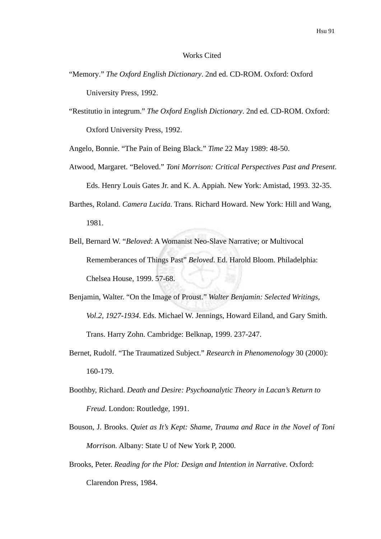## Works Cited

- "Memory." *The Oxford English Dictionary*. 2nd ed. CD-ROM. Oxford: Oxford University Press, 1992.
- "Restitutio in integrum." *The Oxford English Dictionary*. 2nd ed. CD-ROM. Oxford: Oxford University Press, 1992.

Angelo, Bonnie. "The Pain of Being Black." *Time* 22 May 1989: 48-50.

- Atwood, Margaret. "Beloved." *Toni Morrison: Critical Perspectives Past and Present*. Eds. Henry Louis Gates Jr. and K. A. Appiah. New York: Amistad, 1993. 32-35.
- Barthes, Roland. *Camera Lucida*. Trans. Richard Howard. New York: Hill and Wang, 1981.
- Bell, Bernard W. "*Beloved*: A Womanist Neo-Slave Narrative; or Multivocal Rememberances of Things Past" *Beloved*. Ed. Harold Bloom. Philadelphia: Chelsea House, 1999. 57-68.
- Benjamin, Walter. "On the Image of Proust." *Walter Benjamin: Selected Writings, Vol.2, 1927-1934*. Eds. Michael W. Jennings, Howard Eiland, and Gary Smith. Trans. Harry Zohn. Cambridge: Belknap, 1999. 237-247.
- Bernet, Rudolf. "The Traumatized Subject." *Research in Phenomenology* 30 (2000): 160-179.
- Boothby, Richard. *Death and Desire: Psychoanalytic Theory in Lacan's Return to Freud*. London: Routledge, 1991.
- Bouson, J. Brooks. *Quiet as It's Kept: Shame, Trauma and Race in the Novel of Toni Morrison.* Albany: State U of New York P, 2000.
- Brooks, Peter. *Reading for the Plot: Design and Intention in Narrative*. Oxford: Clarendon Press, 1984.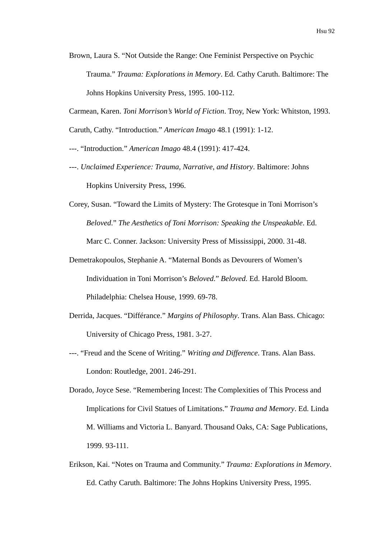Brown, Laura S. "Not Outside the Range: One Feminist Perspective on Psychic Trauma." *Trauma: Explorations in Memory*. Ed. Cathy Caruth. Baltimore: The Johns Hopkins University Press, 1995. 100-112.

Carmean, Karen. *Toni Morrison's World of Fiction*. Troy, New York: Whitston, 1993.

Caruth, Cathy. "Introduction." *American Imago* 48.1 (1991): 1-12.

---. "Introduction." *American Imago* 48.4 (1991): 417-424.

- ---. *Unclaimed Experience: Trauma, Narrative, and History*. Baltimore: Johns Hopkins University Press, 1996.
- Corey, Susan. "Toward the Limits of Mystery: The Grotesque in Toni Morrison's *Beloved*." *The Aesthetics of Toni Morrison: Speaking the Unspeakable*. Ed. Marc C. Conner. Jackson: University Press of Mississippi, 2000. 31-48.
- Demetrakopoulos, Stephanie A. "Maternal Bonds as Devourers of Women's Individuation in Toni Morrison's *Beloved*." *Beloved*. Ed. Harold Bloom. Philadelphia: Chelsea House, 1999. 69-78.
- Derrida, Jacques. "Différance." *Margins of Philosophy*. Trans. Alan Bass. Chicago: University of Chicago Press, 1981. 3-27.
- ---. "Freud and the Scene of Writing." *Writing and Difference*. Trans. Alan Bass. London: Routledge, 2001. 246-291.
- Dorado, Joyce Sese. "Remembering Incest: The Complexities of This Process and Implications for Civil Statues of Limitations." *Trauma and Memory*. Ed. Linda M. Williams and Victoria L. Banyard. Thousand Oaks, CA: Sage Publications, 1999. 93-111.
- Erikson, Kai. "Notes on Trauma and Community." *Trauma: Explorations in Memory*. Ed. Cathy Caruth. Baltimore: The Johns Hopkins University Press, 1995.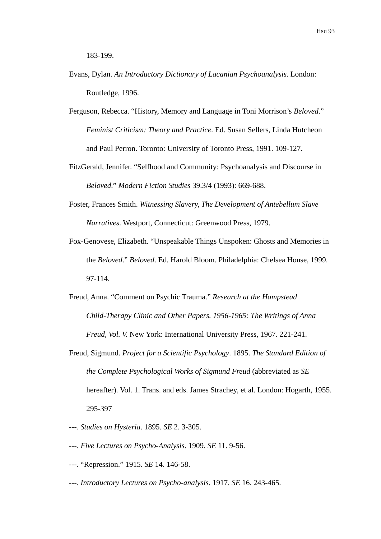183-199.

- Evans, Dylan. *An Introductory Dictionary of Lacanian Psychoanalysis*. London: Routledge, 1996.
- Ferguson, Rebecca. "History, Memory and Language in Toni Morrison's *Beloved*." *Feminist Criticism: Theory and Practice*. Ed. Susan Sellers, Linda Hutcheon and Paul Perron. Toronto: University of Toronto Press, 1991. 109-127.
- FitzGerald, Jennifer. "Selfhood and Community: Psychoanalysis and Discourse in *Beloved*." *Modern Fiction Studies* 39.3/4 (1993): 669-688.
- Foster, Frances Smith. *Witnessing Slavery, The Development of Antebellum Slave Narratives*. Westport, Connecticut: Greenwood Press, 1979.
- Fox-Genovese, Elizabeth. "Unspeakable Things Unspoken: Ghosts and Memories in the *Beloved*." *Beloved*. Ed. Harold Bloom. Philadelphia: Chelsea House, 1999. 97-114.
- Freud, Anna. "Comment on Psychic Trauma." *Research at the Hampstead Child-Therapy Clinic and Other Papers. 1956-1965: The Writings of Anna Freud, Vol. V.* New York: International University Press, 1967. 221-241.
- Freud, Sigmund. *Project for a Scientific Psychology*. 1895. *The Standard Edition of the Complete Psychological Works of Sigmund Freud* (abbreviated as *SE* hereafter). Vol. 1. Trans. and eds. James Strachey, et al. London: Hogarth, 1955. 295-397
- ---. *Studies on Hysteria*. 1895. *SE* 2. 3-305.
- ---. *Five Lectures on Psycho-Analysis*. 1909. *SE* 11. 9-56.
- ---. "Repression." 1915. *SE* 14. 146-58.
- ---. *Introductory Lectures on Psycho-analysis*. 1917. *SE* 16. 243-465.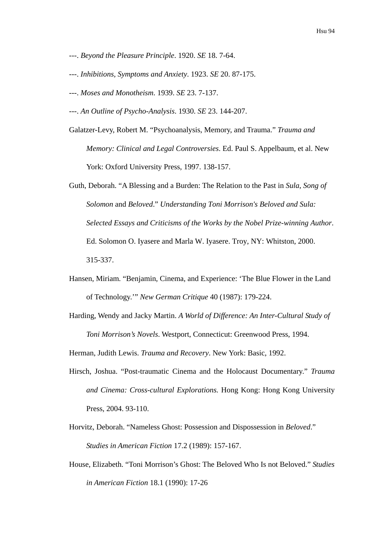- ---. *Beyond the Pleasure Principle*. 1920. *SE* 18. 7-64.
- ---. *Inhibitions, Symptoms and Anxiety*. 1923. *SE* 20. 87-175.
- ---. *Moses and Monotheism*. 1939. *SE* 23. 7-137.
- ---. *An Outline of Psycho-Analysis*. 1930. *SE* 23. 144-207.
- Galatzer-Levy, Robert M. "Psychoanalysis, Memory, and Trauma." *Trauma and Memory: Clinical and Legal Controversies*. Ed. Paul S. Appelbaum, et al. New York: Oxford University Press, 1997. 138-157.
- Guth, Deborah. "A Blessing and a Burden: The Relation to the Past in *Sula*, *Song of Solomon* and *Beloved*." *Understanding Toni Morrison's Beloved and Sula: Selected Essays and Criticisms of the Works by the Nobel Prize-winning Author*. Ed. Solomon O. Iyasere and Marla W. Iyasere. Troy, NY: Whitston, 2000. 315-337.
- Hansen, Miriam. "Benjamin, Cinema, and Experience: 'The Blue Flower in the Land of Technology.'" *New German Critique* 40 (1987): 179-224.
- Harding, Wendy and Jacky Martin. *A World of Difference: An Inter-Cultural Study of Toni Morrison's Novels*. Westport, Connecticut: Greenwood Press, 1994.

Herman, Judith Lewis. *Trauma and Recovery*. New York: Basic, 1992.

- Hirsch, Joshua. "Post-traumatic Cinema and the Holocaust Documentary." *Trauma and Cinema: Cross-cultural Explorations.* Hong Kong: Hong Kong University Press, 2004. 93-110.
- Horvitz, Deborah. "Nameless Ghost: Possession and Dispossession in *Beloved*." *Studies in American Fiction* 17.2 (1989): 157-167.
- House, Elizabeth. "Toni Morrison's Ghost: The Beloved Who Is not Beloved." *Studies in American Fiction* 18.1 (1990): 17-26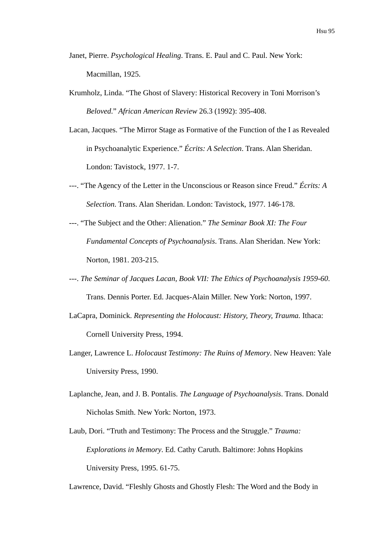- Janet, Pierre. *Psychological Healing*. Trans. E. Paul and C. Paul. New York: Macmillan, 1925.
- Krumholz, Linda. "The Ghost of Slavery: Historical Recovery in Toni Morrison's *Beloved*." *African American Review* 26.3 (1992): 395-408.
- Lacan, Jacques. "The Mirror Stage as Formative of the Function of the I as Revealed in Psychoanalytic Experience." *Écrits: A Selection*. Trans. Alan Sheridan. London: Tavistock, 1977. 1-7.
- ---. "The Agency of the Letter in the Unconscious or Reason since Freud." *Écrits: A Selection*. Trans. Alan Sheridan. London: Tavistock, 1977. 146-178.
- ---. "The Subject and the Other: Alienation." *The Seminar Book XI: The Four Fundamental Concepts of Psychoanalysis*. Trans. Alan Sheridan. New York: Norton, 1981. 203-215.
- ---. *The Seminar of Jacques Lacan, Book VII: The Ethics of Psychoanalysis 1959-60*. Trans. Dennis Porter. Ed. Jacques-Alain Miller. New York: Norton, 1997.
- LaCapra, Dominick. *Representing the Holocaust: History, Theory, Trauma.* Ithaca: Cornell University Press, 1994.
- Langer, Lawrence L. *Holocaust Testimony: The Ruins of Memory*. New Heaven: Yale University Press, 1990.
- Laplanche, Jean, and J. B. Pontalis. *The Language of Psychoanalysis*. Trans. Donald Nicholas Smith. New York: Norton, 1973.
- Laub, Dori. "Truth and Testimony: The Process and the Struggle." *Trauma: Explorations in Memory*. Ed. Cathy Caruth. Baltimore: Johns Hopkins University Press, 1995. 61-75.

Lawrence, David. "Fleshly Ghosts and Ghostly Flesh: The Word and the Body in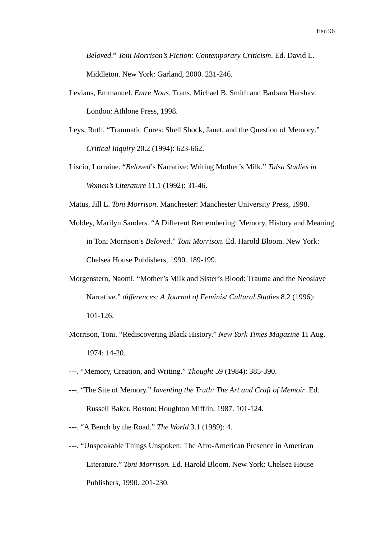*Beloved*." *Toni Morrison's Fiction: Contemporary Criticism*. Ed. David L. Middleton. New York: Garland, 2000. 231-246.

- Levians, Emmanuel. *Entre Nous*. Trans. Michael B. Smith and Barbara Harshav. London: Athlone Press, 1998.
- Leys, Ruth. "Traumatic Cures: Shell Shock, Janet, and the Question of Memory." *Critical Inquiry* 20.2 (1994): 623-662.
- Liscio, Lorraine. "*Beloved*'s Narrative: Writing Mother's Milk." *Tulsa Studies in Women's Literature* 11.1 (1992): 31-46.
- Matus, Jill L. *Toni Morrison*. Manchester: Manchester University Press, 1998.
- Mobley, Marilyn Sanders. "A Different Remembering: Memory, History and Meaning in Toni Morrison's *Beloved*." *Toni Morrison*. Ed. Harold Bloom. New York: Chelsea House Publishers, 1990. 189-199.
- Morgenstern, Naomi. "Mother's Milk and Sister's Blood: Trauma and the Neoslave Narrative." *differences: A Journal of Feminist Cultural Studies* 8.2 (1996): 101-126.
- Morrison, Toni. "Rediscovering Black History." *New York Times Magazine* 11 Aug. 1974: 14-20.
- ---. "Memory, Creation, and Writing." *Thought* 59 (1984): 385-390.
- ---. "The Site of Memory." *Inventing the Truth: The Art and Craft of Memoir*. Ed. Russell Baker. Boston: Houghton Mifflin, 1987. 101-124.
- ---. "A Bench by the Road." *The World* 3.1 (1989): 4.
- ---. "Unspeakable Things Unspoken: The Afro-American Presence in American Literature." *Toni Morrison.* Ed. Harold Bloom. New York: Chelsea House Publishers, 1990. 201-230.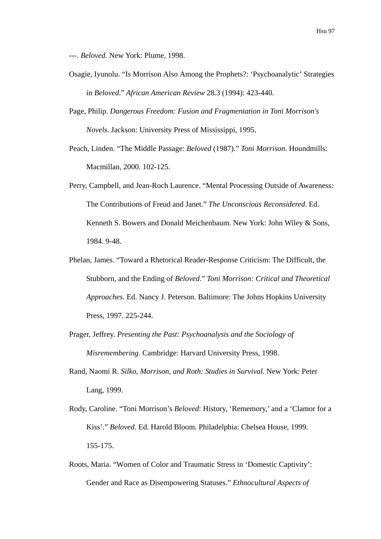---. *Beloved*. New York: Plume, 1998.

- Osagie, Iyunolu. "Is Morrison Also Among the Prophets?: 'Psychoanalytic' Strategies in *Beloved*." *African American Review* 28.3 (1994): 423-440.
- Page, Philip. *Dangerous Freedom: Fusion and Fragmentation in Toni Morrison's Novels.* Jackson: University Press of Mississippi, 1995.
- Peach, Linden. "The Middle Passage: *Beloved* (1987)." *Toni Morrison*. Houndmills: Macmillan, 2000. 102-125.
- Perry, Campbell, and Jean-Roch Laurence. "Mental Processing Outside of Awareness: The Contributions of Freud and Janet." *The Unconscious Reconsidered*. Ed. Kenneth S. Bowers and Donald Meichenbaum. New York: John Wiley & Sons, 1984. 9-48.
- Phelan, James. "Toward a Rhetorical Reader-Response Criticism: The Difficult, the Stubborn, and the Ending of *Beloved*." *Toni Morrison: Critical and Theoretical Approaches*. Ed. Nancy J. Peterson. Baltimore: The Johns Hopkins University Press, 1997. 225-244.
- Prager, Jeffrey. *Presenting the Past: Psychoanalysis and the Sociology of Misremembering*. Cambridge: Harvard University Press, 1998.
- Rand, Naomi R. *Silko, Morrison, and Roth: Studies in Survival*. New York: Peter Lang, 1999.
- Rody, Caroline. "Toni Morrison's *Beloved*: History, 'Rememory,' and a 'Clamor for a Kiss'." *Beloved*. Ed. Harold Bloom. Philadelphia: Chelsea House, 1999. 155-175.
- Roots, Maria. "Women of Color and Traumatic Stress in 'Domestic Captivity': Gender and Race as Disempowering Statuses." *Ethnocultural Aspects of*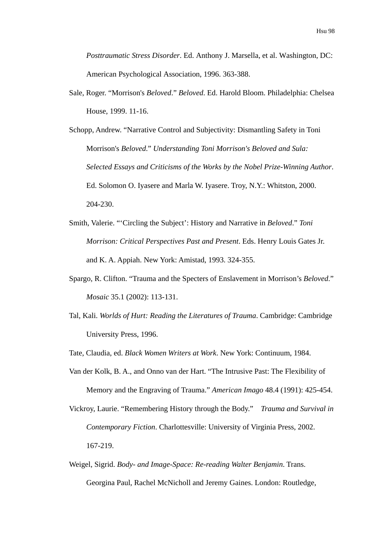*Posttraumatic Stress Disorder*. Ed. Anthony J. Marsella, et al. Washington, DC: American Psychological Association, 1996. 363-388.

- Sale, Roger. "Morrison's *Beloved*." *Beloved*. Ed. Harold Bloom. Philadelphia: Chelsea House, 1999. 11-16.
- Schopp, Andrew. "Narrative Control and Subjectivity: Dismantling Safety in Toni Morrison's *Beloved*." *Understanding Toni Morrison's Beloved and Sula: Selected Essays and Criticisms of the Works by the Nobel Prize-Winning Author*. Ed. Solomon O. Iyasere and Marla W. Iyasere. Troy, N.Y.: Whitston, 2000. 204-230.
- Smith, Valerie. "'Circling the Subject': History and Narrative in *Beloved*." *Toni Morrison: Critical Perspectives Past and Present*. Eds. Henry Louis Gates Jr. and K. A. Appiah. New York: Amistad, 1993. 324-355.
- Spargo, R. Clifton. "Trauma and the Specters of Enslavement in Morrison's *Beloved*." *Mosaic* 35.1 (2002): 113-131.
- Tal, Kali. *Worlds of Hurt: Reading the Literatures of Trauma*. Cambridge: Cambridge University Press, 1996.
- Tate, Claudia, ed. *Black Women Writers at Work*. New York: Continuum, 1984.
- Van der Kolk, B. A., and Onno van der Hart. "The Intrusive Past: The Flexibility of Memory and the Engraving of Trauma." *American Imago* 48.4 (1991): 425-454.
- Vickroy, Laurie. "Remembering History through the Body." *Trauma and Survival in Contemporary Fiction*. Charlottesville: University of Virginia Press, 2002. 167-219.
- Weigel, Sigrid. *Body- and Image-Space: Re-reading Walter Benjamin*. Trans. Georgina Paul, Rachel McNicholl and Jeremy Gaines. London: Routledge,